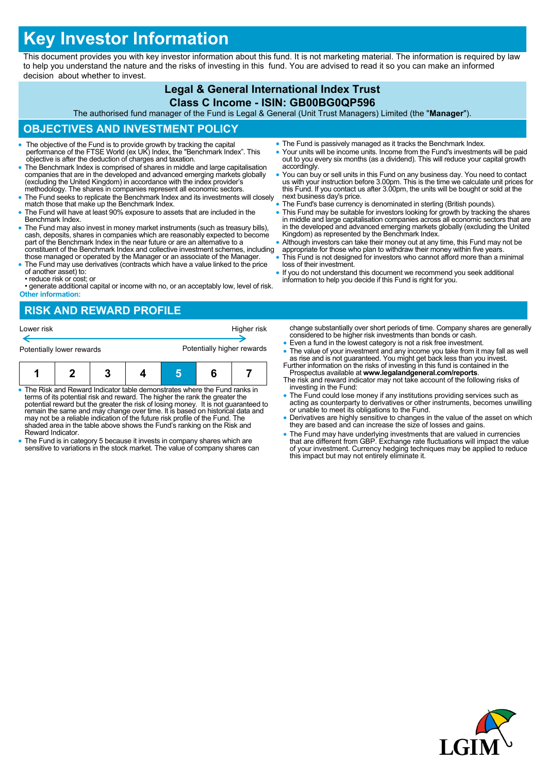# **Key Investor Information**

This document provides you with key investor information about this fund. It is not marketing material. The information is required by law to help you understand the nature and the risks of investing in this fund. You are advised to read it so you can make an informed decision about whether to invest.

#### **Legal & General International Index Trust Class C Income - ISIN: GB00BG0QP596**

The authorised fund manager of the Fund is Legal & General (Unit Trust Managers) Limited (the "**Manager**").

## **OBJECTIVES AND INVESTMENT POLICY**

- The objective of the Fund is to provide growth by tracking the capital performance of the FTSE World (ex UK) Index, the "Benchmark Index". This objective is after the deduction of charges and taxation.
- The Benchmark Index is comprised of shares in middle and large capitalisation companies that are in the developed and advanced emerging markets globally (excluding the United Kingdom) in accordance with the index provider's methodology. The shares in companies represent all economic sectors.
- The Fund seeks to replicate the Benchmark Index and its investments will closely match those that make up the Benchmark Index.
- The Fund will have at least 90% exposure to assets that are included in the Benchmark Index.
- The Fund may also invest in money market instruments (such as treasury bills). cash, deposits, shares in companies which are reasonably expected to become part of the Benchmark Index in the near future or are an alternative to a constituent of the Benchmark Index and collective investment schemes, including
- those managed or operated by the Manager or an associate of the Manager. The Fund may use derivatives (contracts which have a value linked to the price of another asset) to:
- reduce risk or cost; or
- generate additional capital or income with no, or an acceptably low, level of risk. **Other information:**

## **RISK AND REWARD PROFILE**

| Lower risk                |  |  |  | Higher risk                |  |  |  |
|---------------------------|--|--|--|----------------------------|--|--|--|
| Potentially lower rewards |  |  |  | Potentially higher rewards |  |  |  |
|                           |  |  |  |                            |  |  |  |

| $\bullet$ The Risk and Reward Indicator table demonstrates where the Fund ranks in<br>المتعالم وجواد والمساوية والمتحرم والمتابع المتحادث والمستحدث والمتحا والمتلومات والتكامل والمستحل |  |  |  |  |  |  |
|------------------------------------------------------------------------------------------------------------------------------------------------------------------------------------------|--|--|--|--|--|--|

- terms of its potential risk and reward. The higher the rank the greater the potential reward but the greater the risk of losing money. It is not guaranteed to remain the same and may change over time. It is based on historical data and may not be a reliable indication of the future risk profile of the Fund. The shaded area in the table above shows the Fund's ranking on the Risk and Reward Indicator.
- The Fund is in category 5 because it invests in company shares which are sensitive to variations in the stock market. The value of company shares can
- The Fund is passively managed as it tracks the Benchmark Index.
- Your units will be income units. Income from the Fund's investments will be paid out to you every six months (as a dividend). This will reduce your capital growth accordingly.
- You can buy or sell units in this Fund on any business day. You need to contact us with your instruction before 3.00pm. This is the time we calculate unit prices for this Fund. If you contact us after 3.00pm, the units will be bought or sold at the next business day's price.
- The Fund's base currency is denominated in sterling (British pounds).
- This Fund may be suitable for investors looking for growth by tracking the shares in middle and large capitalisation companies across all economic sectors that are in the developed and advanced emerging markets globally (excluding the United Kingdom) as represented by the Benchmark Index.
- Although investors can take their money out at any time, this Fund may not be
- appropriate for those who plan to withdraw their money within five years. This Fund is not designed for investors who cannot afford more than a minimal loss of their investment.
- If you do not understand this document we recommend you seek additional information to help you decide if this Fund is right for you.

change substantially over short periods of time. Company shares are generally considered to be higher risk investments than bonds or cash.

- Even a fund in the lowest category is not a risk free investment.
- The value of your investment and any income you take from it may fall as well as rise and is not guaranteed. You might get back less than you invest. Further information on the risks of investing in this fund is contained in the
- Prospectus available at **www.legalandgeneral.com/reports**. The risk and reward indicator may not take account of the following risks of investing in the Fund:
- The Fund could lose money if any institutions providing services such as acting as counterparty to derivatives or other instruments, becomes unwilling or unable to meet its obligations to the Fund.
- Derivatives are highly sensitive to changes in the value of the asset on which they are based and can increase the size of losses and gains.
- The Fund may have underlying investments that are valued in currencies that are different from GBP. Exchange rate fluctuations will impact the value of your investment. Currency hedging techniques may be applied to reduce this impact but may not entirely eliminate it.